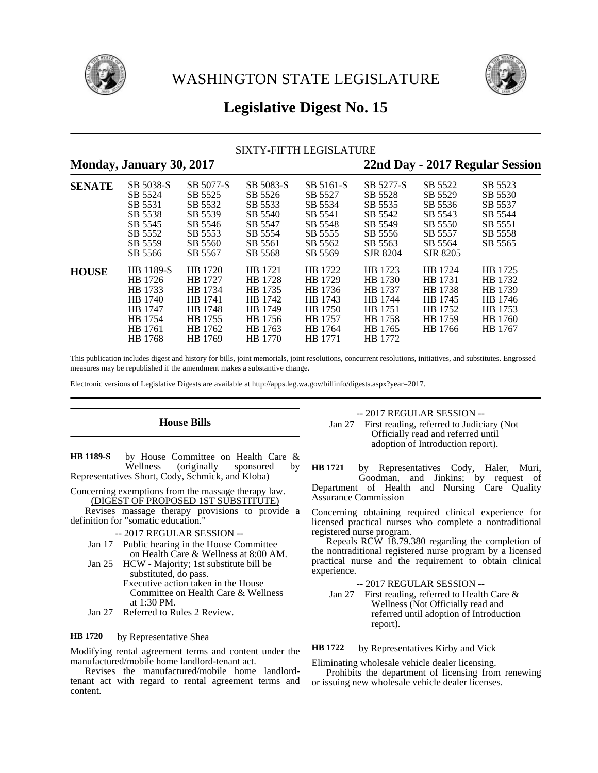



# **Legislative Digest No. 15**

## SIXTY-FIFTH LEGISLATURE

## **Monday, January 30, 2017 22nd Day - 2017 Regular Session**

|               | SB 5038-S | SB 5077-S | SB 5083-S | SB 5161-S | SB 5277-S | SB 5522  | SB 5523 |
|---------------|-----------|-----------|-----------|-----------|-----------|----------|---------|
| <b>SENATE</b> | SB 5524   | SB 5525   | SB 5526   | SB 5527   | SB 5528   | SB 5529  | SB 5530 |
|               |           |           |           |           |           |          |         |
|               | SB 5531   | SB 5532   | SB 5533   | SB 5534   | SB 5535   | SB 5536  | SB 5537 |
|               | SB 5538   | SB 5539   | SB 5540   | SB 5541   | SB 5542   | SB 5543  | SB 5544 |
|               | SB 5545   | SB 5546   | SB 5547   | SB 5548   | SB 5549   | SB 5550  | SB 5551 |
|               | SB 5552   | SB 5553   | SB 5554   | SB 5555   | SB 5556   | SB 5557  | SB 5558 |
|               | SB 5559   | SB 5560   | SB 5561   | SB 5562   | SB 5563   | SB 5564  | SB 5565 |
|               | SB 5566   | SB 5567   | SB 5568   | SB 5569   | SJR 8204  | SJR 8205 |         |
| <b>HOUSE</b>  | HB 1189-S | HB 1720   | HB 1721   | HB 1722   | HB 1723   | HB 1724  | HB 1725 |
|               | HB 1726   | HB 1727   | HB 1728   | HB 1729   | HB 1730   | HB 1731  | HB 1732 |
|               | HB 1733   | HB 1734   | HB 1735   | HB 1736   | HB 1737   | HB 1738  | HB 1739 |
|               | HB 1740   | HB 1741   | HB 1742   | HB 1743   | HB 1744   | HB 1745  | HB 1746 |
|               | HB 1747   | HB 1748   | HB 1749   | HB 1750   | HB 1751   | HB 1752  | HB 1753 |
|               | HB 1754   | HB 1755   | HB 1756   | HB 1757   | HB 1758   | HB 1759  | HB 1760 |
|               | HB 1761   | HB 1762   | HB 1763   | HB 1764   | HB 1765   | HB 1766  | HB 1767 |
|               | HB 1768   | HB 1769   | HB 1770   | HB 1771   | HB 1772   |          |         |

This publication includes digest and history for bills, joint memorials, joint resolutions, concurrent resolutions, initiatives, and substitutes. Engrossed measures may be republished if the amendment makes a substantive change.

Electronic versions of Legislative Digests are available at http://apps.leg.wa.gov/billinfo/digests.aspx?year=2017.

### **House Bills**

by House Committee on Health Care &<br>Wellness (originally sponsored by sponsored by Representatives Short, Cody, Schmick, and Kloba) **HB 1189-S**

Concerning exemptions from the massage therapy law. (DIGEST OF PROPOSED 1ST SUBSTITUTE)

Revises massage therapy provisions to provide a definition for "somatic education."

-- 2017 REGULAR SESSION --

- Jan 17 Public hearing in the House Committee on Health Care & Wellness at 8:00 AM.
- Jan 25 HCW Majority; 1st substitute bill be substituted, do pass. Executive action taken in the House
	- Committee on Health Care & Wellness at 1:30 PM.
- Jan 27 Referred to Rules 2 Review.

#### by Representative Shea **HB 1720**

Modifying rental agreement terms and content under the manufactured/mobile home landlord-tenant act.

Revises the manufactured/mobile home landlordtenant act with regard to rental agreement terms and content.

-- 2017 REGULAR SESSION --

Jan 27 First reading, referred to Judiciary (Not Officially read and referred until adoption of Introduction report).

by Representatives Cody, Haler, Muri, Goodman, and Jinkins; by request of Department of Health and Nursing Care Quality Assurance Commission **HB 1721**

Concerning obtaining required clinical experience for licensed practical nurses who complete a nontraditional registered nurse program.

Repeals RCW 18.79.380 regarding the completion of the nontraditional registered nurse program by a licensed practical nurse and the requirement to obtain clinical experience.

-- 2017 REGULAR SESSION --

Jan 27 First reading, referred to Health Care & Wellness (Not Officially read and referred until adoption of Introduction report).

by Representatives Kirby and Vick **HB 1722**

Eliminating wholesale vehicle dealer licensing.

Prohibits the department of licensing from renewing or issuing new wholesale vehicle dealer licenses.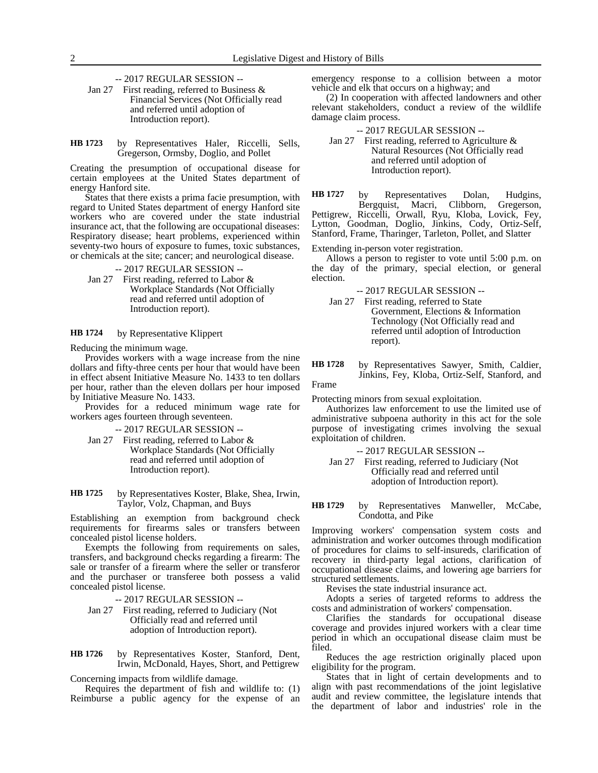-- 2017 REGULAR SESSION --

Jan 27 First reading, referred to Business & Financial Services (Not Officially read and referred until adoption of Introduction report).

by Representatives Haler, Riccelli, Sells, Gregerson, Ormsby, Doglio, and Pollet **HB 1723**

Creating the presumption of occupational disease for certain employees at the United States department of energy Hanford site.

States that there exists a prima facie presumption, with regard to United States department of energy Hanford site workers who are covered under the state industrial insurance act, that the following are occupational diseases: Respiratory disease; heart problems, experienced within seventy-two hours of exposure to fumes, toxic substances, or chemicals at the site; cancer; and neurological disease.

-- 2017 REGULAR SESSION --

Jan 27 First reading, referred to Labor & Workplace Standards (Not Officially read and referred until adoption of Introduction report).

by Representative Klippert **HB 1724**

Reducing the minimum wage.

Provides workers with a wage increase from the nine dollars and fifty-three cents per hour that would have been in effect absent Initiative Measure No. 1433 to ten dollars per hour, rather than the eleven dollars per hour imposed by Initiative Measure No. 1433.

Provides for a reduced minimum wage rate for workers ages fourteen through seventeen.

- -- 2017 REGULAR SESSION --
- Jan 27 First reading, referred to Labor & Workplace Standards (Not Officially read and referred until adoption of Introduction report).

by Representatives Koster, Blake, Shea, Irwin, Taylor, Volz, Chapman, and Buys **HB 1725**

Establishing an exemption from background check requirements for firearms sales or transfers between concealed pistol license holders.

Exempts the following from requirements on sales, transfers, and background checks regarding a firearm: The sale or transfer of a firearm where the seller or transferor and the purchaser or transferee both possess a valid concealed pistol license.

-- 2017 REGULAR SESSION --

- Jan 27 First reading, referred to Judiciary (Not Officially read and referred until adoption of Introduction report).
- by Representatives Koster, Stanford, Dent, Irwin, McDonald, Hayes, Short, and Pettigrew **HB 1726**

Concerning impacts from wildlife damage.

Requires the department of fish and wildlife to: (1) Reimburse a public agency for the expense of an emergency response to a collision between a motor vehicle and elk that occurs on a highway; and

(2) In cooperation with affected landowners and other relevant stakeholders, conduct a review of the wildlife damage claim process.

- -- 2017 REGULAR SESSION --
- Jan 27 First reading, referred to Agriculture & Natural Resources (Not Officially read and referred until adoption of Introduction report).

by Representatives Dolan, Hudgins,<br>Bergquist, Macri, Clibborn, Gregerson, Bergquist, Macri, Clibborn, Pettigrew, Riccelli, Orwall, Ryu, Kloba, Lovick, Fey, Lytton, Goodman, Doglio, Jinkins, Cody, Ortiz-Self, Stanford, Frame, Tharinger, Tarleton, Pollet, and Slatter **HB 1727**

Extending in-person voter registration.

Allows a person to register to vote until 5:00 p.m. on the day of the primary, special election, or general election.

-- 2017 REGULAR SESSION --

- Jan 27 First reading, referred to State Government, Elections & Information Technology (Not Officially read and referred until adoption of Introduction report).
- by Representatives Sawyer, Smith, Caldier, Jinkins, Fey, Kloba, Ortiz-Self, Stanford, and **HB 1728**

Frame

Protecting minors from sexual exploitation.

Authorizes law enforcement to use the limited use of administrative subpoena authority in this act for the sole purpose of investigating crimes involving the sexual exploitation of children.

- -- 2017 REGULAR SESSION --
- Jan 27 First reading, referred to Judiciary (Not Officially read and referred until adoption of Introduction report).

by Representatives Manweller, McCabe, Condotta, and Pike **HB 1729**

Improving workers' compensation system costs and administration and worker outcomes through modification of procedures for claims to self-insureds, clarification of recovery in third-party legal actions, clarification of occupational disease claims, and lowering age barriers for structured settlements.

Revises the state industrial insurance act.

Adopts a series of targeted reforms to address the costs and administration of workers' compensation.

Clarifies the standards for occupational disease coverage and provides injured workers with a clear time period in which an occupational disease claim must be filed.

Reduces the age restriction originally placed upon eligibility for the program.

States that in light of certain developments and to align with past recommendations of the joint legislative audit and review committee, the legislature intends that the department of labor and industries' role in the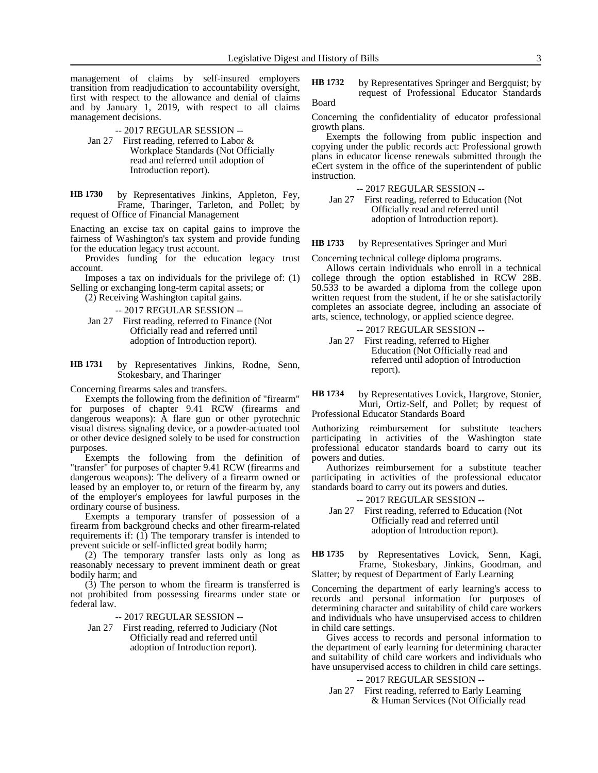management of claims by self-insured employers transition from readjudication to accountability oversight, first with respect to the allowance and denial of claims and by January 1, 2019, with respect to all claims management decisions.

-- 2017 REGULAR SESSION --

Jan 27 First reading, referred to Labor & Workplace Standards (Not Officially read and referred until adoption of Introduction report).

by Representatives Jinkins, Appleton, Fey, Frame, Tharinger, Tarleton, and Pollet; by request of Office of Financial Management **HB 1730**

Enacting an excise tax on capital gains to improve the fairness of Washington's tax system and provide funding for the education legacy trust account.

Provides funding for the education legacy trust account.

Imposes a tax on individuals for the privilege of: (1) Selling or exchanging long-term capital assets; or

(2) Receiving Washington capital gains.

-- 2017 REGULAR SESSION --

- Jan 27 First reading, referred to Finance (Not Officially read and referred until adoption of Introduction report).
- by Representatives Jinkins, Rodne, Senn, Stokesbary, and Tharinger **HB 1731**

Concerning firearms sales and transfers.

Exempts the following from the definition of "firearm" for purposes of chapter 9.41 RCW (firearms and dangerous weapons): A flare gun or other pyrotechnic visual distress signaling device, or a powder-actuated tool or other device designed solely to be used for construction purposes.

Exempts the following from the definition of "transfer" for purposes of chapter 9.41 RCW (firearms and dangerous weapons): The delivery of a firearm owned or leased by an employer to, or return of the firearm by, any of the employer's employees for lawful purposes in the ordinary course of business.

Exempts a temporary transfer of possession of a firearm from background checks and other firearm-related requirements if: (1) The temporary transfer is intended to prevent suicide or self-inflicted great bodily harm;

(2) The temporary transfer lasts only as long as reasonably necessary to prevent imminent death or great bodily harm; and

(3) The person to whom the firearm is transferred is not prohibited from possessing firearms under state or federal law.

-- 2017 REGULAR SESSION --

Jan 27 First reading, referred to Judiciary (Not Officially read and referred until adoption of Introduction report).

by Representatives Springer and Bergquist; by request of Professional Educator Standards Board **HB 1732**

Concerning the confidentiality of educator professional growth plans.

Exempts the following from public inspection and copying under the public records act: Professional growth plans in educator license renewals submitted through the eCert system in the office of the superintendent of public instruction.

-- 2017 REGULAR SESSION --

Jan 27 First reading, referred to Education (Not Officially read and referred until adoption of Introduction report).

by Representatives Springer and Muri **HB 1733**

Concerning technical college diploma programs.

Allows certain individuals who enroll in a technical college through the option established in RCW 28B. 50.533 to be awarded a diploma from the college upon written request from the student, if he or she satisfactorily completes an associate degree, including an associate of arts, science, technology, or applied science degree.

-- 2017 REGULAR SESSION --

Jan 27 First reading, referred to Higher Education (Not Officially read and referred until adoption of Introduction report).

by Representatives Lovick, Hargrove, Stonier, Muri, Ortiz-Self, and Pollet; by request of Professional Educator Standards Board **HB 1734**

Authorizing reimbursement for substitute teachers participating in activities of the Washington state professional educator standards board to carry out its powers and duties.

Authorizes reimbursement for a substitute teacher participating in activities of the professional educator standards board to carry out its powers and duties.

-- 2017 REGULAR SESSION --

Jan 27 First reading, referred to Education (Not Officially read and referred until adoption of Introduction report).

by Representatives Lovick, Senn, Kagi, Frame, Stokesbary, Jinkins, Goodman, and Slatter; by request of Department of Early Learning **HB 1735**

Concerning the department of early learning's access to records and personal information for purposes of determining character and suitability of child care workers and individuals who have unsupervised access to children in child care settings.

Gives access to records and personal information to the department of early learning for determining character and suitability of child care workers and individuals who have unsupervised access to children in child care settings.

### -- 2017 REGULAR SESSION --

Jan 27 First reading, referred to Early Learning & Human Services (Not Officially read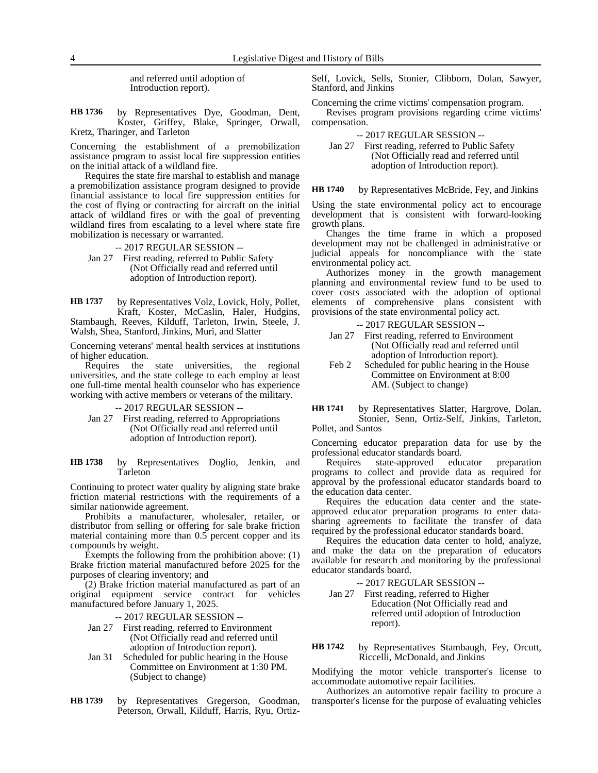and referred until adoption of Introduction report).

by Representatives Dye, Goodman, Dent, Koster, Griffey, Blake, Springer, Orwall, Kretz, Tharinger, and Tarleton **HB 1736**

Concerning the establishment of a premobilization assistance program to assist local fire suppression entities on the initial attack of a wildland fire.

Requires the state fire marshal to establish and manage a premobilization assistance program designed to provide financial assistance to local fire suppression entities for the cost of flying or contracting for aircraft on the initial attack of wildland fires or with the goal of preventing wildland fires from escalating to a level where state fire mobilization is necessary or warranted.

-- 2017 REGULAR SESSION --

Jan 27 First reading, referred to Public Safety (Not Officially read and referred until adoption of Introduction report).

by Representatives Volz, Lovick, Holy, Pollet, Kraft, Koster, McCaslin, Haler, Hudgins, Stambaugh, Reeves, Kilduff, Tarleton, Irwin, Steele, J. Walsh, Shea, Stanford, Jinkins, Muri, and Slatter **HB 1737**

Concerning veterans' mental health services at institutions of higher education.

Requires the state universities, the regional universities, and the state college to each employ at least one full-time mental health counselor who has experience working with active members or veterans of the military.

### -- 2017 REGULAR SESSION --

Jan 27 First reading, referred to Appropriations (Not Officially read and referred until adoption of Introduction report).

by Representatives Doglio, Jenkin, and Tarleton **HB 1738**

Continuing to protect water quality by aligning state brake friction material restrictions with the requirements of a similar nationwide agreement.

Prohibits a manufacturer, wholesaler, retailer, or distributor from selling or offering for sale brake friction material containing more than 0.5 percent copper and its compounds by weight.

Exempts the following from the prohibition above: (1) Brake friction material manufactured before 2025 for the purposes of clearing inventory; and

(2) Brake friction material manufactured as part of an original equipment service contract for vehicles manufactured before January 1, 2025.

-- 2017 REGULAR SESSION --

- Jan 27 First reading, referred to Environment (Not Officially read and referred until adoption of Introduction report).
- Jan 31 Scheduled for public hearing in the House Committee on Environment at 1:30 PM. (Subject to change)
- by Representatives Gregerson, Goodman, Peterson, Orwall, Kilduff, Harris, Ryu, Ortiz-**HB 1739**

Self, Lovick, Sells, Stonier, Clibborn, Dolan, Sawyer, Stanford, and Jinkins

Concerning the crime victims' compensation program. Revises program provisions regarding crime victims' compensation.

-- 2017 REGULAR SESSION --

Jan 27 First reading, referred to Public Safety (Not Officially read and referred until adoption of Introduction report).

by Representatives McBride, Fey, and Jinkins **HB 1740**

Using the state environmental policy act to encourage development that is consistent with forward-looking growth plans.

Changes the time frame in which a proposed development may not be challenged in administrative or judicial appeals for noncompliance with the state environmental policy act.

Authorizes money in the growth management planning and environmental review fund to be used to cover costs associated with the adoption of optional elements of comprehensive plans consistent with provisions of the state environmental policy act.

### -- 2017 REGULAR SESSION --

- Jan 27 First reading, referred to Environment (Not Officially read and referred until adoption of Introduction report).
- Feb 2 Scheduled for public hearing in the House Committee on Environment at 8:00 AM. (Subject to change)

by Representatives Slatter, Hargrove, Dolan, Stonier, Senn, Ortiz-Self, Jinkins, Tarleton, Pollet, and Santos **HB 1741**

Concerning educator preparation data for use by the professional educator standards board.

Requires state-approved educator preparation programs to collect and provide data as required for approval by the professional educator standards board to the education data center.

Requires the education data center and the stateapproved educator preparation programs to enter datasharing agreements to facilitate the transfer of data required by the professional educator standards board.

Requires the education data center to hold, analyze, and make the data on the preparation of educators available for research and monitoring by the professional educator standards board.

### -- 2017 REGULAR SESSION --

Jan 27 First reading, referred to Higher Education (Not Officially read and referred until adoption of Introduction report).

### by Representatives Stambaugh, Fey, Orcutt, Riccelli, McDonald, and Jinkins **HB 1742**

Modifying the motor vehicle transporter's license to accommodate automotive repair facilities.

Authorizes an automotive repair facility to procure a transporter's license for the purpose of evaluating vehicles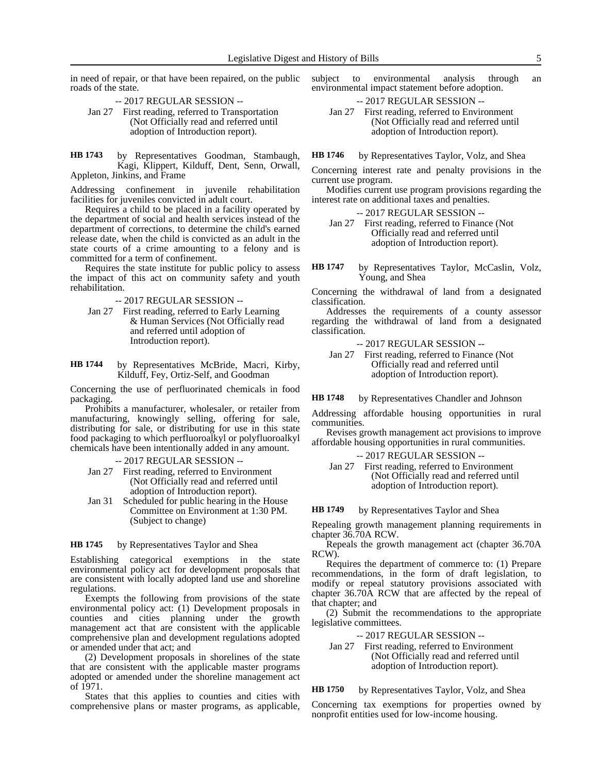in need of repair, or that have been repaired, on the public roads of the state.

- -- 2017 REGULAR SESSION --
- Jan 27 First reading, referred to Transportation (Not Officially read and referred until adoption of Introduction report).

by Representatives Goodman, Stambaugh, Kagi, Klippert, Kilduff, Dent, Senn, Orwall, Appleton, Jinkins, and Frame **HB 1743**

Addressing confinement in juvenile rehabilitation facilities for juveniles convicted in adult court.

Requires a child to be placed in a facility operated by the department of social and health services instead of the department of corrections, to determine the child's earned release date, when the child is convicted as an adult in the state courts of a crime amounting to a felony and is committed for a term of confinement.

Requires the state institute for public policy to assess the impact of this act on community safety and youth rehabilitation.

-- 2017 REGULAR SESSION --

- Jan 27 First reading, referred to Early Learning & Human Services (Not Officially read and referred until adoption of Introduction report).
- by Representatives McBride, Macri, Kirby, Kilduff, Fey, Ortiz-Self, and Goodman **HB 1744**

Concerning the use of perfluorinated chemicals in food packaging.

Prohibits a manufacturer, wholesaler, or retailer from manufacturing, knowingly selling, offering for sale, distributing for sale, or distributing for use in this state food packaging to which perfluoroalkyl or polyfluoroalkyl chemicals have been intentionally added in any amount.

-- 2017 REGULAR SESSION --

- Jan 27 First reading, referred to Environment (Not Officially read and referred until adoption of Introduction report).
- Jan 31 Scheduled for public hearing in the House Committee on Environment at 1:30 PM. (Subject to change)

#### by Representatives Taylor and Shea **HB 1745**

Establishing categorical exemptions in the state environmental policy act for development proposals that are consistent with locally adopted land use and shoreline regulations.

Exempts the following from provisions of the state environmental policy act: (1) Development proposals in counties and cities planning under the growth management act that are consistent with the applicable comprehensive plan and development regulations adopted or amended under that act; and

(2) Development proposals in shorelines of the state that are consistent with the applicable master programs adopted or amended under the shoreline management act of 1971.

States that this applies to counties and cities with comprehensive plans or master programs, as applicable,

subject to environmental analysis through an environmental impact statement before adoption.

-- 2017 REGULAR SESSION --

Jan 27 First reading, referred to Environment (Not Officially read and referred until adoption of Introduction report).

by Representatives Taylor, Volz, and Shea **HB 1746**

Concerning interest rate and penalty provisions in the current use program.

Modifies current use program provisions regarding the interest rate on additional taxes and penalties.

-- 2017 REGULAR SESSION --

Jan 27 First reading, referred to Finance (Not Officially read and referred until adoption of Introduction report).

by Representatives Taylor, McCaslin, Volz, Young, and Shea **HB 1747**

Concerning the withdrawal of land from a designated classification.

Addresses the requirements of a county assessor regarding the withdrawal of land from a designated classification.

-- 2017 REGULAR SESSION --

Jan 27 First reading, referred to Finance (Not Officially read and referred until adoption of Introduction report).

by Representatives Chandler and Johnson **HB 1748**

Addressing affordable housing opportunities in rural communities.

Revises growth management act provisions to improve affordable housing opportunities in rural communities.

-- 2017 REGULAR SESSION --

Jan 27 First reading, referred to Environment (Not Officially read and referred until adoption of Introduction report).

by Representatives Taylor and Shea **HB 1749**

Repealing growth management planning requirements in chapter 36.70A RCW.

Repeals the growth management act (chapter 36.70A RCW).

Requires the department of commerce to: (1) Prepare recommendations, in the form of draft legislation, to modify or repeal statutory provisions associated with chapter 36.70A RCW that are affected by the repeal of that chapter; and

(2) Submit the recommendations to the appropriate legislative committees.

-- 2017 REGULAR SESSION --

Jan 27 First reading, referred to Environment (Not Officially read and referred until adoption of Introduction report).

by Representatives Taylor, Volz, and Shea **HB 1750**

Concerning tax exemptions for properties owned by nonprofit entities used for low-income housing.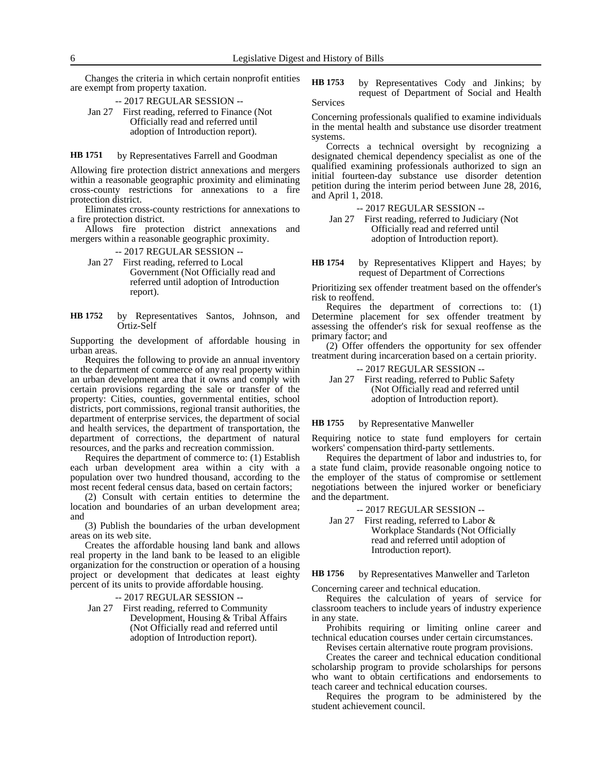Changes the criteria in which certain nonprofit entities are exempt from property taxation.

-- 2017 REGULAR SESSION --

Jan 27 First reading, referred to Finance (Not Officially read and referred until adoption of Introduction report).

#### by Representatives Farrell and Goodman **HB 1751**

Allowing fire protection district annexations and mergers within a reasonable geographic proximity and eliminating cross-county restrictions for annexations to a fire protection district.

Eliminates cross-county restrictions for annexations to a fire protection district.

Allows fire protection district annexations and mergers within a reasonable geographic proximity.

-- 2017 REGULAR SESSION --

- Jan 27 First reading, referred to Local Government (Not Officially read and referred until adoption of Introduction report).
- by Representatives Santos, Johnson, and Ortiz-Self **HB 1752**

Supporting the development of affordable housing in urban areas.

Requires the following to provide an annual inventory to the department of commerce of any real property within an urban development area that it owns and comply with certain provisions regarding the sale or transfer of the property: Cities, counties, governmental entities, school districts, port commissions, regional transit authorities, the department of enterprise services, the department of social and health services, the department of transportation, the department of corrections, the department of natural resources, and the parks and recreation commission.

Requires the department of commerce to: (1) Establish each urban development area within a city with a population over two hundred thousand, according to the most recent federal census data, based on certain factors;

(2) Consult with certain entities to determine the location and boundaries of an urban development area; and

(3) Publish the boundaries of the urban development areas on its web site.

Creates the affordable housing land bank and allows real property in the land bank to be leased to an eligible organization for the construction or operation of a housing project or development that dedicates at least eighty percent of its units to provide affordable housing.

-- 2017 REGULAR SESSION --

Jan 27 First reading, referred to Community Development, Housing & Tribal Affairs (Not Officially read and referred until adoption of Introduction report).

by Representatives Cody and Jinkins; by request of Department of Social and Health Services **HB 1753**

Concerning professionals qualified to examine individuals in the mental health and substance use disorder treatment systems.

Corrects a technical oversight by recognizing a designated chemical dependency specialist as one of the qualified examining professionals authorized to sign an initial fourteen-day substance use disorder detention petition during the interim period between June 28, 2016, and April 1, 2018.

-- 2017 REGULAR SESSION --

Jan 27 First reading, referred to Judiciary (Not Officially read and referred until adoption of Introduction report).

by Representatives Klippert and Hayes; by request of Department of Corrections **HB 1754**

Prioritizing sex offender treatment based on the offender's risk to reoffend.

Requires the department of corrections to: (1) Determine placement for sex offender treatment by assessing the offender's risk for sexual reoffense as the primary factor; and

(2) Offer offenders the opportunity for sex offender treatment during incarceration based on a certain priority.

-- 2017 REGULAR SESSION --

Jan 27 First reading, referred to Public Safety (Not Officially read and referred until adoption of Introduction report).

#### by Representative Manweller **HB 1755**

Requiring notice to state fund employers for certain workers' compensation third-party settlements.

Requires the department of labor and industries to, for a state fund claim, provide reasonable ongoing notice to the employer of the status of compromise or settlement negotiations between the injured worker or beneficiary and the department.

-- 2017 REGULAR SESSION --

Jan 27 First reading, referred to Labor & Workplace Standards (Not Officially read and referred until adoption of Introduction report).

#### by Representatives Manweller and Tarleton **HB 1756**

Concerning career and technical education.

Requires the calculation of years of service for classroom teachers to include years of industry experience in any state.

Prohibits requiring or limiting online career and technical education courses under certain circumstances.

Revises certain alternative route program provisions.

Creates the career and technical education conditional scholarship program to provide scholarships for persons who want to obtain certifications and endorsements to teach career and technical education courses.

Requires the program to be administered by the student achievement council.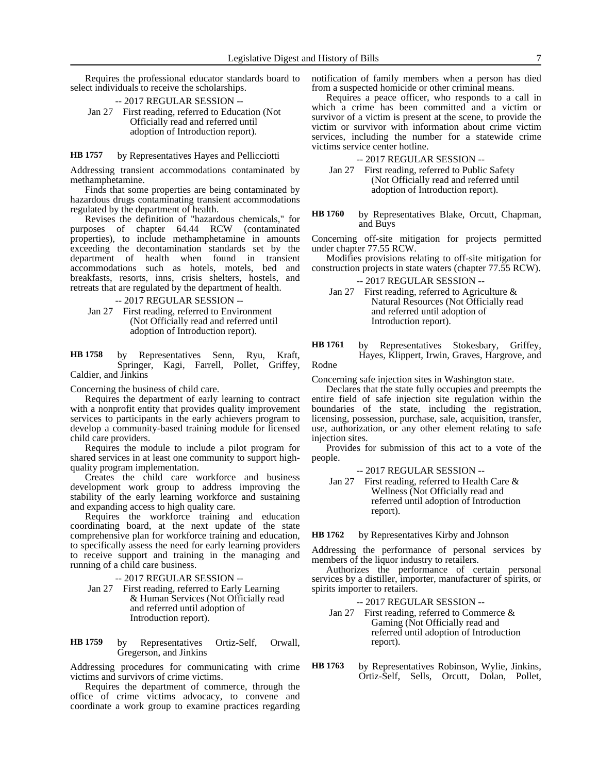Requires the professional educator standards board to select individuals to receive the scholarships.

### -- 2017 REGULAR SESSION --

Jan 27 First reading, referred to Education (Not Officially read and referred until adoption of Introduction report).

#### by Representatives Hayes and Pellicciotti **HB 1757**

Addressing transient accommodations contaminated by methamphetamine.

Finds that some properties are being contaminated by hazardous drugs contaminating transient accommodations regulated by the department of health.

Revises the definition of "hazardous chemicals," for purposes of chapter 64.44 RCW (contaminated properties), to include methamphetamine in amounts exceeding the decontamination standards set by the department of health when found in transient accommodations such as hotels, motels, bed and breakfasts, resorts, inns, crisis shelters, hostels, and retreats that are regulated by the department of health.

-- 2017 REGULAR SESSION --

Jan 27 First reading, referred to Environment (Not Officially read and referred until adoption of Introduction report).

by Representatives Senn, Ryu, Kraft, Springer, Kagi, Farrell, Pollet, Griffey, Caldier, and Jinkins **HB 1758**

Concerning the business of child care.

Requires the department of early learning to contract with a nonprofit entity that provides quality improvement services to participants in the early achievers program to develop a community-based training module for licensed child care providers.

Requires the module to include a pilot program for shared services in at least one community to support highquality program implementation.

Creates the child care workforce and business development work group to address improving the stability of the early learning workforce and sustaining and expanding access to high quality care.

Requires the workforce training and education coordinating board, at the next update of the state comprehensive plan for workforce training and education, to specifically assess the need for early learning providers to receive support and training in the managing and running of a child care business.

-- 2017 REGULAR SESSION --

Jan 27 First reading, referred to Early Learning & Human Services (Not Officially read and referred until adoption of Introduction report).

by Representatives Ortiz-Self, Orwall, Gregerson, and Jinkins **HB 1759**

Addressing procedures for communicating with crime victims and survivors of crime victims.

Requires the department of commerce, through the office of crime victims advocacy, to convene and coordinate a work group to examine practices regarding notification of family members when a person has died from a suspected homicide or other criminal means.

Requires a peace officer, who responds to a call in which a crime has been committed and a victim or survivor of a victim is present at the scene, to provide the victim or survivor with information about crime victim services, including the number for a statewide crime victims service center hotline.

-- 2017 REGULAR SESSION --

Jan 27 First reading, referred to Public Safety (Not Officially read and referred until adoption of Introduction report).

by Representatives Blake, Orcutt, Chapman, and Buys **HB 1760**

Concerning off-site mitigation for projects permitted under chapter 77.55 RCW.

Modifies provisions relating to off-site mitigation for construction projects in state waters (chapter 77.55 RCW).

-- 2017 REGULAR SESSION --

Jan 27 First reading, referred to Agriculture & Natural Resources (Not Officially read and referred until adoption of Introduction report).

by Representatives Stokesbary, Griffey, Hayes, Klippert, Irwin, Graves, Hargrove, and **HB 1761**

Rodne

Concerning safe injection sites in Washington state.

Declares that the state fully occupies and preempts the entire field of safe injection site regulation within the boundaries of the state, including the registration, licensing, possession, purchase, sale, acquisition, transfer, use, authorization, or any other element relating to safe injection sites.

Provides for submission of this act to a vote of the people.

-- 2017 REGULAR SESSION --

Jan 27 First reading, referred to Health Care & Wellness (Not Officially read and referred until adoption of Introduction report).

by Representatives Kirby and Johnson **HB 1762**

Addressing the performance of personal services by members of the liquor industry to retailers.

Authorizes the performance of certain personal services by a distiller, importer, manufacturer of spirits, or spirits importer to retailers.

-- 2017 REGULAR SESSION --

Jan 27 First reading, referred to Commerce & Gaming (Not Officially read and referred until adoption of Introduction report).

by Representatives Robinson, Wylie, Jinkins, Ortiz-Self, Sells, Orcutt, Dolan, Pollet, **HB 1763**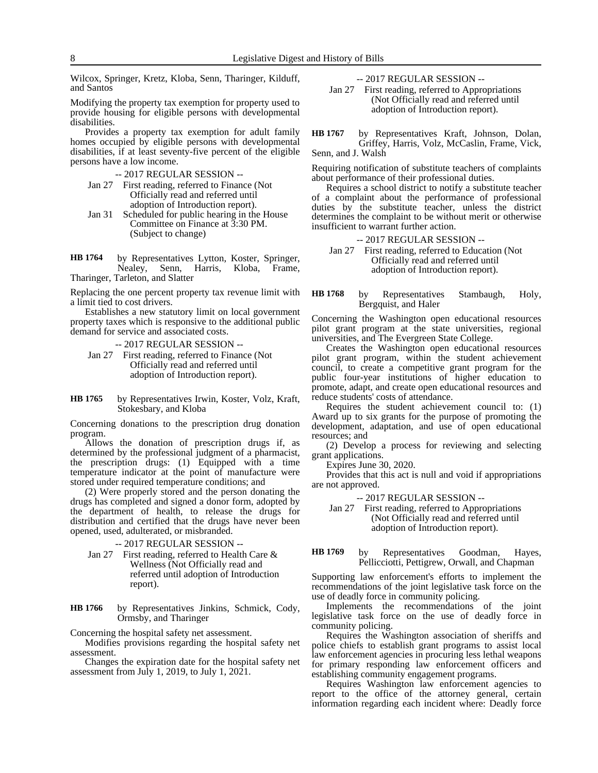Wilcox, Springer, Kretz, Kloba, Senn, Tharinger, Kilduff, and Santos

Modifying the property tax exemption for property used to provide housing for eligible persons with developmental disabilities.

Provides a property tax exemption for adult family homes occupied by eligible persons with developmental disabilities, if at least seventy-five percent of the eligible persons have a low income.

- -- 2017 REGULAR SESSION --
- Jan 27 First reading, referred to Finance (Not Officially read and referred until adoption of Introduction report).
- Jan 31 Scheduled for public hearing in the House Committee on Finance at 3:30 PM. (Subject to change)
- by Representatives Lytton, Koster, Springer, Nealey, Senn, Harris, Kloba, Frame, Tharinger, Tarleton, and Slatter **HB 1764**

Replacing the one percent property tax revenue limit with a limit tied to cost drivers.

Establishes a new statutory limit on local government property taxes which is responsive to the additional public demand for service and associated costs.

-- 2017 REGULAR SESSION --

- Jan 27 First reading, referred to Finance (Not Officially read and referred until adoption of Introduction report).
- by Representatives Irwin, Koster, Volz, Kraft, Stokesbary, and Kloba **HB 1765**

Concerning donations to the prescription drug donation program.

Allows the donation of prescription drugs if, as determined by the professional judgment of a pharmacist, the prescription drugs: (1) Equipped with a time temperature indicator at the point of manufacture were stored under required temperature conditions; and

(2) Were properly stored and the person donating the drugs has completed and signed a donor form, adopted by the department of health, to release the drugs for distribution and certified that the drugs have never been opened, used, adulterated, or misbranded.

- -- 2017 REGULAR SESSION --
- Jan 27 First reading, referred to Health Care & Wellness (Not Officially read and referred until adoption of Introduction report).

by Representatives Jinkins, Schmick, Cody, Ormsby, and Tharinger **HB 1766**

Concerning the hospital safety net assessment.

Modifies provisions regarding the hospital safety net assessment.

Changes the expiration date for the hospital safety net assessment from July 1, 2019, to July 1, 2021.

-- 2017 REGULAR SESSION --

Jan 27 First reading, referred to Appropriations (Not Officially read and referred until adoption of Introduction report).

by Representatives Kraft, Johnson, Dolan, Griffey, Harris, Volz, McCaslin, Frame, Vick, Senn, and J. Walsh **HB 1767**

Requiring notification of substitute teachers of complaints about performance of their professional duties.

Requires a school district to notify a substitute teacher of a complaint about the performance of professional duties by the substitute teacher, unless the district determines the complaint to be without merit or otherwise insufficient to warrant further action.

-- 2017 REGULAR SESSION -- Jan 27 First reading, referred to Education (Not Officially read and referred until adoption of Introduction report).

by Representatives Stambaugh, Holy, Bergquist, and Haler **HB 1768**

Concerning the Washington open educational resources pilot grant program at the state universities, regional universities, and The Evergreen State College.

Creates the Washington open educational resources pilot grant program, within the student achievement council, to create a competitive grant program for the public four-year institutions of higher education to promote, adapt, and create open educational resources and reduce students' costs of attendance.

Requires the student achievement council to: (1) Award up to six grants for the purpose of promoting the development, adaptation, and use of open educational resources; and

(2) Develop a process for reviewing and selecting grant applications.

Expires June 30, 2020.

Provides that this act is null and void if appropriations are not approved.

- -- 2017 REGULAR SESSION --
- Jan 27 First reading, referred to Appropriations (Not Officially read and referred until adoption of Introduction report).

### by Representatives Goodman, Hayes, Pellicciotti, Pettigrew, Orwall, and Chapman **HB 1769**

Supporting law enforcement's efforts to implement the recommendations of the joint legislative task force on the use of deadly force in community policing.

Implements the recommendations of the joint legislative task force on the use of deadly force in community policing.

Requires the Washington association of sheriffs and police chiefs to establish grant programs to assist local law enforcement agencies in procuring less lethal weapons for primary responding law enforcement officers and establishing community engagement programs.

Requires Washington law enforcement agencies to report to the office of the attorney general, certain information regarding each incident where: Deadly force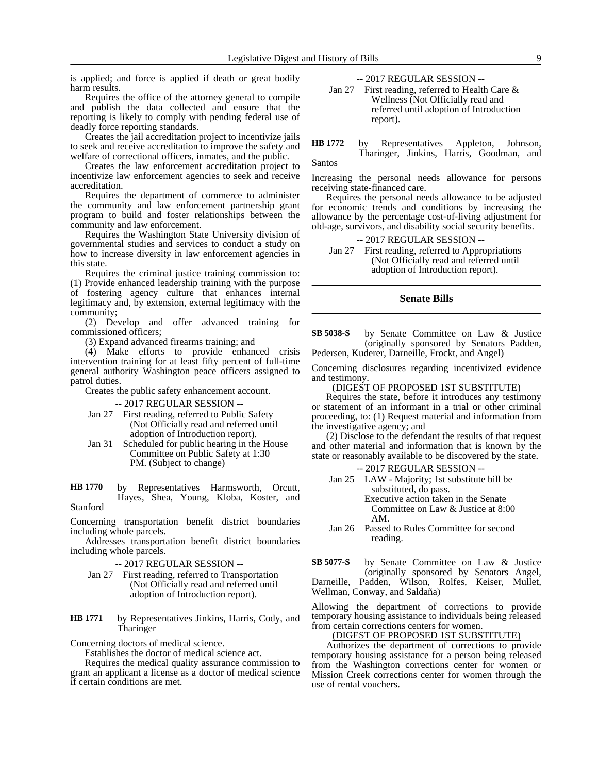is applied; and force is applied if death or great bodily harm results.

Requires the office of the attorney general to compile and publish the data collected and ensure that the reporting is likely to comply with pending federal use of deadly force reporting standards.

Creates the jail accreditation project to incentivize jails to seek and receive accreditation to improve the safety and welfare of correctional officers, inmates, and the public.

Creates the law enforcement accreditation project to incentivize law enforcement agencies to seek and receive accreditation.

Requires the department of commerce to administer the community and law enforcement partnership grant program to build and foster relationships between the community and law enforcement.

Requires the Washington State University division of governmental studies and services to conduct a study on how to increase diversity in law enforcement agencies in this state.

Requires the criminal justice training commission to: (1) Provide enhanced leadership training with the purpose of fostering agency culture that enhances internal legitimacy and, by extension, external legitimacy with the community;

(2) Develop and offer advanced training for commissioned officers;

(3) Expand advanced firearms training; and

(4) Make efforts to provide enhanced crisis intervention training for at least fifty percent of full-time general authority Washington peace officers assigned to patrol duties.

Creates the public safety enhancement account.

-- 2017 REGULAR SESSION --

- Jan 27 First reading, referred to Public Safety (Not Officially read and referred until adoption of Introduction report).
- Jan 31 Scheduled for public hearing in the House Committee on Public Safety at 1:30 PM. (Subject to change)

by Representatives Harmsworth, Orcutt, Hayes, Shea, Young, Kloba, Koster, and **HB 1770**

Stanford

Concerning transportation benefit district boundaries including whole parcels.

Addresses transportation benefit district boundaries including whole parcels.

- -- 2017 REGULAR SESSION --
- Jan 27 First reading, referred to Transportation (Not Officially read and referred until adoption of Introduction report).

by Representatives Jinkins, Harris, Cody, and Tharinger **HB 1771**

Concerning doctors of medical science.

Establishes the doctor of medical science act.

Requires the medical quality assurance commission to grant an applicant a license as a doctor of medical science if certain conditions are met.

-- 2017 REGULAR SESSION --

- Jan 27 First reading, referred to Health Care & Wellness (Not Officially read and referred until adoption of Introduction report).
- by Representatives Appleton, Johnson, Tharinger, Jinkins, Harris, Goodman, and Santos **HB 1772**

Increasing the personal needs allowance for persons receiving state-financed care.

Requires the personal needs allowance to be adjusted for economic trends and conditions by increasing the allowance by the percentage cost-of-living adjustment for old-age, survivors, and disability social security benefits.

-- 2017 REGULAR SESSION -- Jan 27 First reading, referred to Appropriations (Not Officially read and referred until adoption of Introduction report).

### **Senate Bills**

by Senate Committee on Law & Justice (originally sponsored by Senators Padden, Pedersen, Kuderer, Darneille, Frockt, and Angel) **SB 5038-S**

Concerning disclosures regarding incentivized evidence and testimony.

### (DIGEST OF PROPOSED 1ST SUBSTITUTE)

Requires the state, before it introduces any testimony or statement of an informant in a trial or other criminal proceeding, to: (1) Request material and information from the investigative agency; and

(2) Disclose to the defendant the results of that request and other material and information that is known by the state or reasonably available to be discovered by the state.

-- 2017 REGULAR SESSION --

- Jan 25 LAW Majority; 1st substitute bill be substituted, do pass. Executive action taken in the Senate Committee on Law & Justice at 8:00 AM.
- Jan 26 Passed to Rules Committee for second reading.

by Senate Committee on Law & Justice (originally sponsored by Senators Angel, Darneille, Padden, Wilson, Rolfes, Keiser, Mullet, Wellman, Conway, and Saldaña) **SB 5077-S**

Allowing the department of corrections to provide temporary housing assistance to individuals being released from certain corrections centers for women.

### (DIGEST OF PROPOSED 1ST SUBSTITUTE)

Authorizes the department of corrections to provide temporary housing assistance for a person being released from the Washington corrections center for women or Mission Creek corrections center for women through the use of rental vouchers.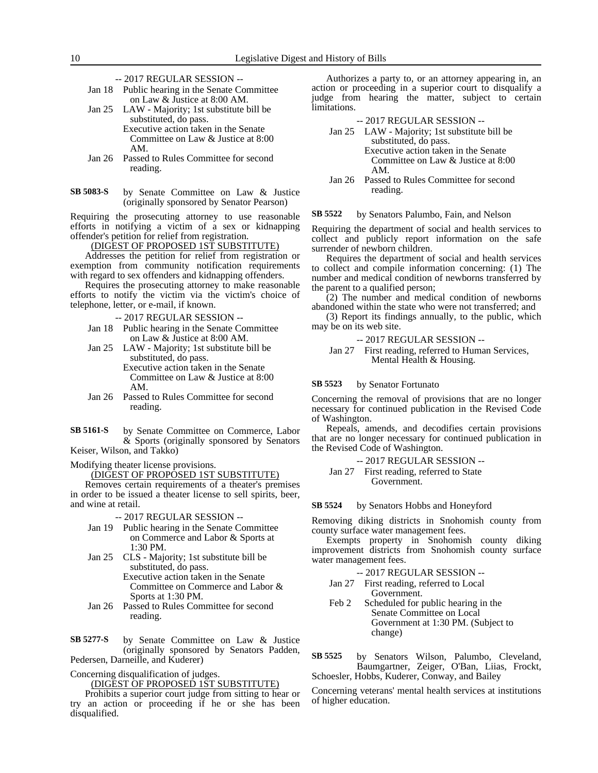- -- 2017 REGULAR SESSION --
- Jan 18 Public hearing in the Senate Committee on Law & Justice at 8:00 AM.
- Jan 25 LAW Majority; 1st substitute bill be substituted, do pass. Executive action taken in the Senate
	- Committee on Law & Justice at 8:00 AM.
- Jan 26 Passed to Rules Committee for second reading.
- by Senate Committee on Law & Justice (originally sponsored by Senator Pearson) **SB 5083-S**

Requiring the prosecuting attorney to use reasonable efforts in notifying a victim of a sex or kidnapping offender's petition for relief from registration.

(DIGEST OF PROPOSED 1ST SUBSTITUTE)

Addresses the petition for relief from registration or exemption from community notification requirements with regard to sex offenders and kidnapping offenders.

Requires the prosecuting attorney to make reasonable efforts to notify the victim via the victim's choice of telephone, letter, or e-mail, if known.

- -- 2017 REGULAR SESSION --
- Jan 18 Public hearing in the Senate Committee on Law & Justice at 8:00 AM.
- Jan 25 LAW Majority; 1st substitute bill be substituted, do pass. Executive action taken in the Senate Committee on Law & Justice at 8:00 AM.
- Jan 26 Passed to Rules Committee for second reading.

by Senate Committee on Commerce, Labor & Sports (originally sponsored by Senators **SB 5161-S**

Keiser, Wilson, and Takko)

Modifying theater license provisions.

(DIGEST OF PROPOSED 1ST SUBSTITUTE) Removes certain requirements of a theater's premises in order to be issued a theater license to sell spirits, beer, and wine at retail.

### -- 2017 REGULAR SESSION --

- Jan 19 Public hearing in the Senate Committee on Commerce and Labor & Sports at 1:30 PM.
- Jan 25 CLS Majority; 1st substitute bill be substituted, do pass.
- Executive action taken in the Senate Committee on Commerce and Labor & Sports at 1:30 PM. Jan 26 Passed to Rules Committee for second
	- reading.

by Senate Committee on Law & Justice (originally sponsored by Senators Padden, Pedersen, Darneille, and Kuderer) **SB 5277-S**

disqualified.

### Concerning disqualification of judges. (DIGEST OF PROPOSED 1ST SUBSTITUTE)

Prohibits a superior court judge from sitting to hear or try an action or proceeding if he or she has been

Authorizes a party to, or an attorney appearing in, an action or proceeding in a superior court to disqualify a judge from hearing the matter, subject to certain limitations.

- -- 2017 REGULAR SESSION --
- Jan 25 LAW Majority; 1st substitute bill be substituted, do pass. Executive action taken in the Senate Committee on Law & Justice at 8:00 AM.
- Jan 26 Passed to Rules Committee for second reading.

by Senators Palumbo, Fain, and Nelson **SB 5522**

Requiring the department of social and health services to collect and publicly report information on the safe surrender of newborn children.

Requires the department of social and health services collect and compile information concerning: (1) The number and medical condition of newborns transferred by the parent to a qualified person;

(2) The number and medical condition of newborns abandoned within the state who were not transferred; and

(3) Report its findings annually, to the public, which may be on its web site.

-- 2017 REGULAR SESSION --

Jan 27 First reading, referred to Human Services, Mental Health & Housing.

#### by Senator Fortunato **SB 5523**

Concerning the removal of provisions that are no longer necessary for continued publication in the Revised Code of Washington.

Repeals, amends, and decodifies certain provisions that are no longer necessary for continued publication in the Revised Code of Washington.

-- 2017 REGULAR SESSION --

Jan 27 First reading, referred to State Government.

by Senators Hobbs and Honeyford **SB 5524**

Removing diking districts in Snohomish county from county surface water management fees.

Exempts property in Snohomish county diking improvement districts from Snohomish county surface water management fees.

- -- 2017 REGULAR SESSION --
- Jan 27 First reading, referred to Local Government.
- Feb 2 Scheduled for public hearing in the Senate Committee on Local Government at 1:30 PM. (Subject to change)

by Senators Wilson, Palumbo, Cleveland, Baumgartner, Zeiger, O'Ban, Liias, Frockt, Schoesler, Hobbs, Kuderer, Conway, and Bailey **SB 5525**

Concerning veterans' mental health services at institutions of higher education.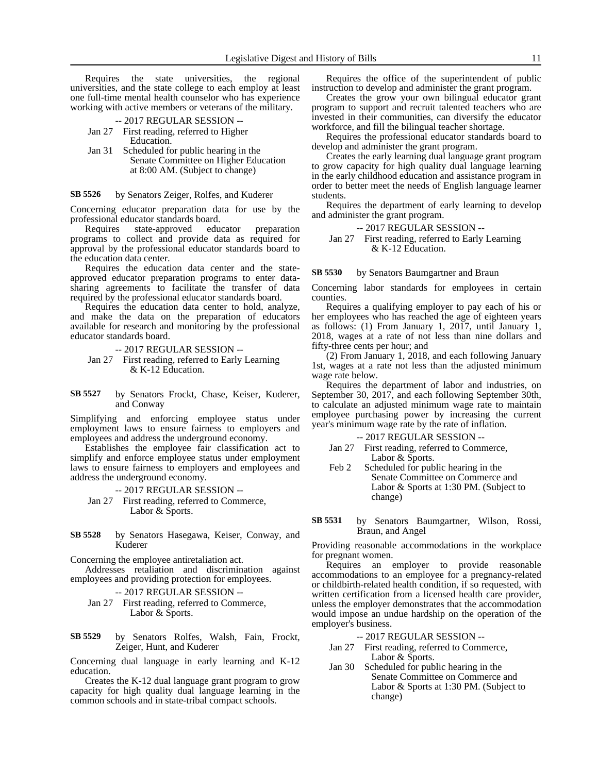Requires the state universities, the regional universities, and the state college to each employ at least one full-time mental health counselor who has experience working with active members or veterans of the military.

### -- 2017 REGULAR SESSION --

- Jan 27 First reading, referred to Higher Education.
- Jan 31 Scheduled for public hearing in the Senate Committee on Higher Education at 8:00 AM. (Subject to change)

by Senators Zeiger, Rolfes, and Kuderer **SB 5526**

Concerning educator preparation data for use by the professional educator standards board.

Requires state-approved educator preparation programs to collect and provide data as required for approval by the professional educator standards board to the education data center.

Requires the education data center and the stateapproved educator preparation programs to enter datasharing agreements to facilitate the transfer of data required by the professional educator standards board.

Requires the education data center to hold, analyze, and make the data on the preparation of educators available for research and monitoring by the professional educator standards board.

-- 2017 REGULAR SESSION -- Jan 27 First reading, referred to Early Learning & K-12 Education.

### by Senators Frockt, Chase, Keiser, Kuderer, and Conway **SB 5527**

Simplifying and enforcing employee status under employment laws to ensure fairness to employers and employees and address the underground economy.

Establishes the employee fair classification act to simplify and enforce employee status under employment laws to ensure fairness to employers and employees and address the underground economy.

-- 2017 REGULAR SESSION --

- Jan 27 First reading, referred to Commerce, Labor & Sports.
- by Senators Hasegawa, Keiser, Conway, and Kuderer **SB 5528**

Concerning the employee antiretaliation act.

Addresses retaliation and discrimination against employees and providing protection for employees.

-- 2017 REGULAR SESSION --

Jan 27 First reading, referred to Commerce, Labor & Sports.

by Senators Rolfes, Walsh, Fain, Frockt, Zeiger, Hunt, and Kuderer **SB 5529**

Concerning dual language in early learning and K-12 education.

Creates the K-12 dual language grant program to grow capacity for high quality dual language learning in the common schools and in state-tribal compact schools.

Requires the office of the superintendent of public instruction to develop and administer the grant program.

Creates the grow your own bilingual educator grant program to support and recruit talented teachers who are invested in their communities, can diversify the educator workforce, and fill the bilingual teacher shortage.

Requires the professional educator standards board to develop and administer the grant program.

Creates the early learning dual language grant program to grow capacity for high quality dual language learning in the early childhood education and assistance program in order to better meet the needs of English language learner students.

Requires the department of early learning to develop and administer the grant program.

-- 2017 REGULAR SESSION -- Jan 27 First reading, referred to Early Learning & K-12 Education.

by Senators Baumgartner and Braun **SB 5530**

Concerning labor standards for employees in certain counties.

Requires a qualifying employer to pay each of his or her employees who has reached the age of eighteen years as follows: (1) From January 1, 2017, until January 1, 2018, wages at a rate of not less than nine dollars and fifty-three cents per hour; and

(2) From January 1, 2018, and each following January 1st, wages at a rate not less than the adjusted minimum wage rate below.

Requires the department of labor and industries, on September 30, 2017, and each following September 30th, to calculate an adjusted minimum wage rate to maintain employee purchasing power by increasing the current year's minimum wage rate by the rate of inflation.

-- 2017 REGULAR SESSION --

- Jan 27 First reading, referred to Commerce, Labor & Sports.
- Feb 2 Scheduled for public hearing in the Senate Committee on Commerce and Labor & Sports at 1:30 PM. (Subject to change)

by Senators Baumgartner, Wilson, Rossi, Braun, and Angel **SB 5531**

Providing reasonable accommodations in the workplace for pregnant women.

Requires an employer to provide reasonable accommodations to an employee for a pregnancy-related or childbirth-related health condition, if so requested, with written certification from a licensed health care provider, unless the employer demonstrates that the accommodation would impose an undue hardship on the operation of the employer's business.

-- 2017 REGULAR SESSION --

- Jan 27 First reading, referred to Commerce, Labor & Sports.
- Jan 30 Scheduled for public hearing in the Senate Committee on Commerce and Labor & Sports at 1:30 PM. (Subject to change)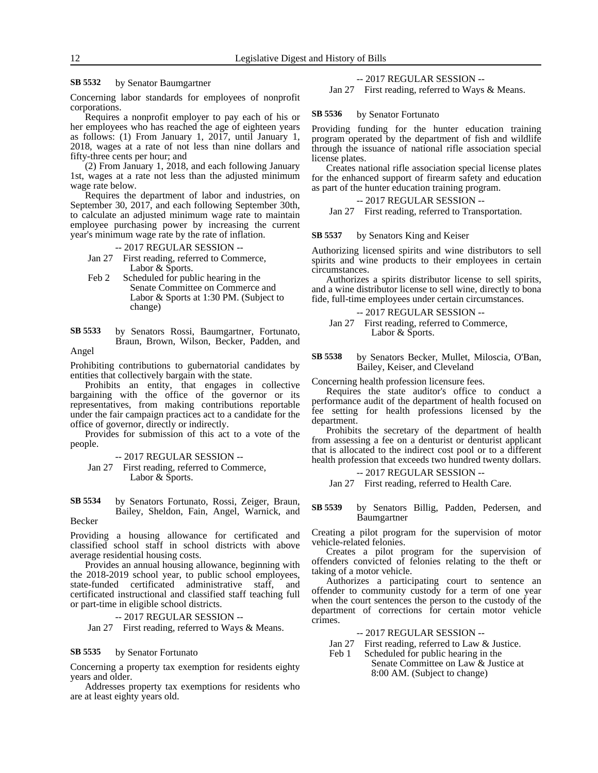by Senator Baumgartner **SB 5532**

Concerning labor standards for employees of nonprofit corporations.

Requires a nonprofit employer to pay each of his or her employees who has reached the age of eighteen years as follows: (1) From January 1, 2017, until January 1, 2018, wages at a rate of not less than nine dollars and fifty-three cents per hour; and

(2) From January 1, 2018, and each following January 1st, wages at a rate not less than the adjusted minimum wage rate below.

Requires the department of labor and industries, on September 30, 2017, and each following September 30th, to calculate an adjusted minimum wage rate to maintain employee purchasing power by increasing the current year's minimum wage rate by the rate of inflation.

### -- 2017 REGULAR SESSION --

Jan 27 First reading, referred to Commerce, Labor & Sports.

- Feb 2 Scheduled for public hearing in the Senate Committee on Commerce and Labor & Sports at 1:30 PM. (Subject to change)
- by Senators Rossi, Baumgartner, Fortunato, Braun, Brown, Wilson, Becker, Padden, and **SB 5533**

Angel

Prohibiting contributions to gubernatorial candidates by entities that collectively bargain with the state.

Prohibits an entity, that engages in collective bargaining with the office of the governor or its representatives, from making contributions reportable under the fair campaign practices act to a candidate for the office of governor, directly or indirectly.

Provides for submission of this act to a vote of the people.

-- 2017 REGULAR SESSION --

- Jan 27 First reading, referred to Commerce, Labor & Sports.
- by Senators Fortunato, Rossi, Zeiger, Braun, Bailey, Sheldon, Fain, Angel, Warnick, and Becker **SB 5534**

Providing a housing allowance for certificated and classified school staff in school districts with above average residential housing costs.

Provides an annual housing allowance, beginning with the 2018-2019 school year, to public school employees, state-funded certificated administrative staff, and certificated instructional and classified staff teaching full or part-time in eligible school districts.

-- 2017 REGULAR SESSION --

Jan 27 First reading, referred to Ways & Means.

#### by Senator Fortunato **SB 5535**

Concerning a property tax exemption for residents eighty years and older.

Addresses property tax exemptions for residents who are at least eighty years old.

-- 2017 REGULAR SESSION --

Jan 27 First reading, referred to Ways & Means.

by Senator Fortunato **SB 5536**

Providing funding for the hunter education training program operated by the department of fish and wildlife through the issuance of national rifle association special license plates.

Creates national rifle association special license plates for the enhanced support of firearm safety and education as part of the hunter education training program.

-- 2017 REGULAR SESSION --

Jan 27 First reading, referred to Transportation.

by Senators King and Keiser **SB 5537**

Authorizing licensed spirits and wine distributors to sell spirits and wine products to their employees in certain circumstances.

Authorizes a spirits distributor license to sell spirits, and a wine distributor license to sell wine, directly to bona fide, full-time employees under certain circumstances.

-- 2017 REGULAR SESSION --

Jan 27 First reading, referred to Commerce, Labor & Sports.

by Senators Becker, Mullet, Miloscia, O'Ban, Bailey, Keiser, and Cleveland **SB 5538**

Concerning health profession licensure fees.

Requires the state auditor's office to conduct a performance audit of the department of health focused on fee setting for health professions licensed by the department.

Prohibits the secretary of the department of health from assessing a fee on a denturist or denturist applicant that is allocated to the indirect cost pool or to a different health profession that exceeds two hundred twenty dollars.

-- 2017 REGULAR SESSION --

Jan 27 First reading, referred to Health Care.

by Senators Billig, Padden, Pedersen, and Baumgartner **SB 5539**

Creating a pilot program for the supervision of motor vehicle-related felonies.

Creates a pilot program for the supervision of offenders convicted of felonies relating to the theft or taking of a motor vehicle.

Authorizes a participating court to sentence an offender to community custody for a term of one year when the court sentences the person to the custody of the department of corrections for certain motor vehicle crimes.

-- 2017 REGULAR SESSION --

- Jan 27 First reading, referred to Law & Justice.
- Feb 1 Scheduled for public hearing in the Senate Committee on Law & Justice at 8:00 AM. (Subject to change)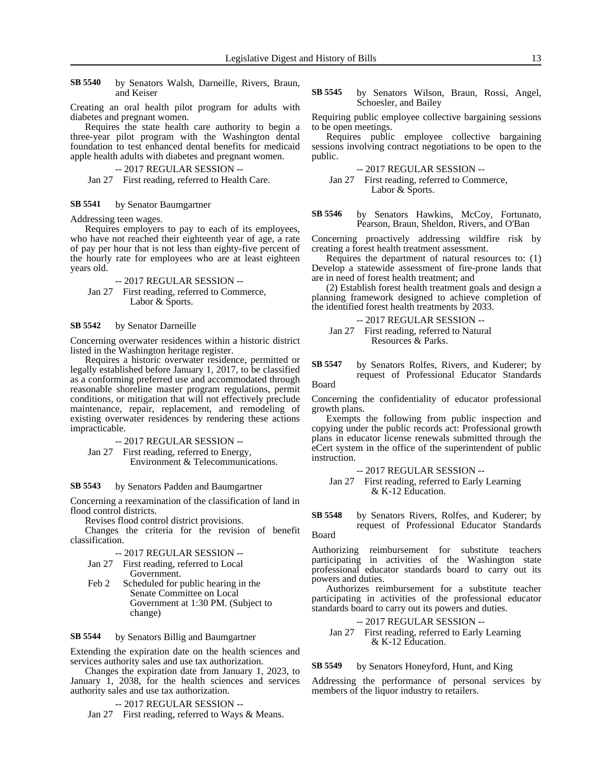by Senators Walsh, Darneille, Rivers, Braun, and Keiser **SB 5540**

Creating an oral health pilot program for adults with diabetes and pregnant women.

Requires the state health care authority to begin a three-year pilot program with the Washington dental foundation to test enhanced dental benefits for medicaid apple health adults with diabetes and pregnant women.

-- 2017 REGULAR SESSION --

Jan 27 First reading, referred to Health Care.

#### by Senator Baumgartner **SB 5541**

Addressing teen wages.

Requires employers to pay to each of its employees, who have not reached their eighteenth year of age, a rate of pay per hour that is not less than eighty-five percent of the hourly rate for employees who are at least eighteen years old.

-- 2017 REGULAR SESSION -- Jan 27 First reading, referred to Commerce, Labor & Sports.

#### by Senator Darneille **SB 5542**

Concerning overwater residences within a historic district listed in the Washington heritage register.

Requires a historic overwater residence, permitted or legally established before January 1, 2017, to be classified as a conforming preferred use and accommodated through reasonable shoreline master program regulations, permit conditions, or mitigation that will not effectively preclude maintenance, repair, replacement, and remodeling of existing overwater residences by rendering these actions impracticable.

-- 2017 REGULAR SESSION --

Jan 27 First reading, referred to Energy, Environment & Telecommunications.

#### by Senators Padden and Baumgartner **SB 5543**

Concerning a reexamination of the classification of land in flood control districts.

Revises flood control district provisions.

Changes the criteria for the revision of benefit classification.

### -- 2017 REGULAR SESSION --

- Jan 27 First reading, referred to Local Government.
- Feb 2 Scheduled for public hearing in the Senate Committee on Local Government at 1:30 PM. (Subject to change)

#### by Senators Billig and Baumgartner **SB 5544**

Extending the expiration date on the health sciences and services authority sales and use tax authorization.

Changes the expiration date from January 1, 2023, to January 1, 2038, for the health sciences and services authority sales and use tax authorization.

-- 2017 REGULAR SESSION --

Jan 27 First reading, referred to Ways & Means.

by Senators Wilson, Braun, Rossi, Angel, Schoesler, and Bailey **SB 5545**

Requiring public employee collective bargaining sessions to be open meetings.

Requires public employee collective bargaining sessions involving contract negotiations to be open to the public.

-- 2017 REGULAR SESSION --

Jan 27 First reading, referred to Commerce, Labor & Sports.

by Senators Hawkins, McCoy, Fortunato, Pearson, Braun, Sheldon, Rivers, and O'Ban **SB 5546**

Concerning proactively addressing wildfire risk by creating a forest health treatment assessment.

Requires the department of natural resources to: (1) Develop a statewide assessment of fire-prone lands that are in need of forest health treatment; and

(2) Establish forest health treatment goals and design a planning framework designed to achieve completion of the identified forest health treatments by 2033.

-- 2017 REGULAR SESSION -- Jan 27 First reading, referred to Natural Resources & Parks.

by Senators Rolfes, Rivers, and Kuderer; by request of Professional Educator Standards Board **SB 5547**

Concerning the confidentiality of educator professional growth plans.

Exempts the following from public inspection and copying under the public records act: Professional growth plans in educator license renewals submitted through the eCert system in the office of the superintendent of public instruction.

-- 2017 REGULAR SESSION --

Jan 27 First reading, referred to Early Learning & K-12 Education.

by Senators Rivers, Rolfes, and Kuderer; by request of Professional Educator Standards **SB 5548**

Board

Authorizing reimbursement for substitute teachers participating in activities of the Washington state professional educator standards board to carry out its powers and duties.

Authorizes reimbursement for a substitute teacher participating in activities of the professional educator standards board to carry out its powers and duties.

- -- 2017 REGULAR SESSION --
- Jan 27 First reading, referred to Early Learning & K-12 Education.

#### by Senators Honeyford, Hunt, and King **SB 5549**

Addressing the performance of personal services by members of the liquor industry to retailers.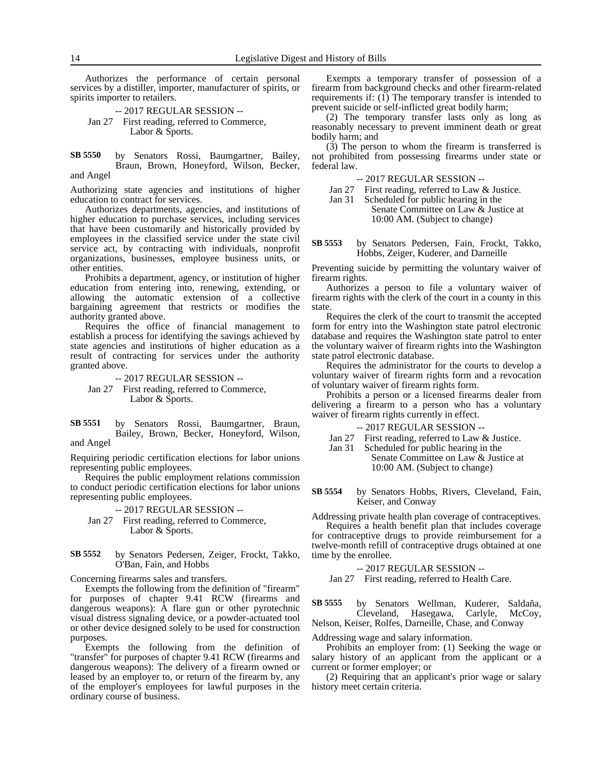Authorizes the performance of certain personal services by a distiller, importer, manufacturer of spirits, or spirits importer to retailers.

-- 2017 REGULAR SESSION -- Jan 27 First reading, referred to Commerce, Labor & Sports.

by Senators Rossi, Baumgartner, Bailey, Braun, Brown, Honeyford, Wilson, Becker, and Angel **SB 5550**

Authorizing state agencies and institutions of higher education to contract for services.

Authorizes departments, agencies, and institutions of higher education to purchase services, including services that have been customarily and historically provided by employees in the classified service under the state civil service act, by contracting with individuals, nonprofit organizations, businesses, employee business units, or other entities.

Prohibits a department, agency, or institution of higher education from entering into, renewing, extending, or allowing the automatic extension of a collective bargaining agreement that restricts or modifies the authority granted above.

Requires the office of financial management to establish a process for identifying the savings achieved by state agencies and institutions of higher education as a result of contracting for services under the authority granted above.

-- 2017 REGULAR SESSION -- Jan 27 First reading, referred to Commerce, Labor & Sports.

by Senators Rossi, Baumgartner, Braun, Bailey, Brown, Becker, Honeyford, Wilson, and Angel **SB 5551**

Requiring periodic certification elections for labor unions representing public employees.

Requires the public employment relations commission to conduct periodic certification elections for labor unions representing public employees.

-- 2017 REGULAR SESSION --

- Jan 27 First reading, referred to Commerce, Labor & Sports.
- by Senators Pedersen, Zeiger, Frockt, Takko, O'Ban, Fain, and Hobbs **SB 5552**

Concerning firearms sales and transfers.

Exempts the following from the definition of "firearm" for purposes of chapter 9.41 RCW (firearms and dangerous weapons): A flare gun or other pyrotechnic visual distress signaling device, or a powder-actuated tool or other device designed solely to be used for construction purposes.

Exempts the following from the definition of "transfer" for purposes of chapter 9.41 RCW (firearms and dangerous weapons): The delivery of a firearm owned or leased by an employer to, or return of the firearm by, any of the employer's employees for lawful purposes in the ordinary course of business.

Exempts a temporary transfer of possession of a firearm from background checks and other firearm-related requirements if:  $(I)$  The temporary transfer is intended to prevent suicide or self-inflicted great bodily harm;

(2) The temporary transfer lasts only as long as reasonably necessary to prevent imminent death or great bodily harm; and

(3) The person to whom the firearm is transferred is not prohibited from possessing firearms under state or federal law.

-- 2017 REGULAR SESSION --

Jan 27 First reading, referred to Law & Justice. Jan 31 Scheduled for public hearing in the Senate Committee on Law & Justice at 10:00 AM. (Subject to change)

by Senators Pedersen, Fain, Frockt, Takko, Hobbs, Zeiger, Kuderer, and Darneille **SB 5553**

Preventing suicide by permitting the voluntary waiver of firearm rights.

Authorizes a person to file a voluntary waiver of firearm rights with the clerk of the court in a county in this state.

Requires the clerk of the court to transmit the accepted form for entry into the Washington state patrol electronic database and requires the Washington state patrol to enter the voluntary waiver of firearm rights into the Washington state patrol electronic database.

Requires the administrator for the courts to develop a voluntary waiver of firearm rights form and a revocation of voluntary waiver of firearm rights form.

Prohibits a person or a licensed firearms dealer from delivering a firearm to a person who has a voluntary waiver of firearm rights currently in effect.

-- 2017 REGULAR SESSION --

- Jan 27 First reading, referred to Law & Justice.
- Jan 31 Scheduled for public hearing in the Senate Committee on Law & Justice at 10:00 AM. (Subject to change)

by Senators Hobbs, Rivers, Cleveland, Fain, Keiser, and Conway **SB 5554**

Addressing private health plan coverage of contraceptives. Requires a health benefit plan that includes coverage for contraceptive drugs to provide reimbursement for a twelve-month refill of contraceptive drugs obtained at one time by the enrollee.

-- 2017 REGULAR SESSION --

Jan 27 First reading, referred to Health Care.

by Senators Wellman, Kuderer, Saldaña, Cleveland, Hasegawa, Carlyle, Nelson, Keiser, Rolfes, Darneille, Chase, and Conway **SB 5555**

Addressing wage and salary information.

Prohibits an employer from: (1) Seeking the wage or salary history of an applicant from the applicant or a current or former employer; or

(2) Requiring that an applicant's prior wage or salary history meet certain criteria.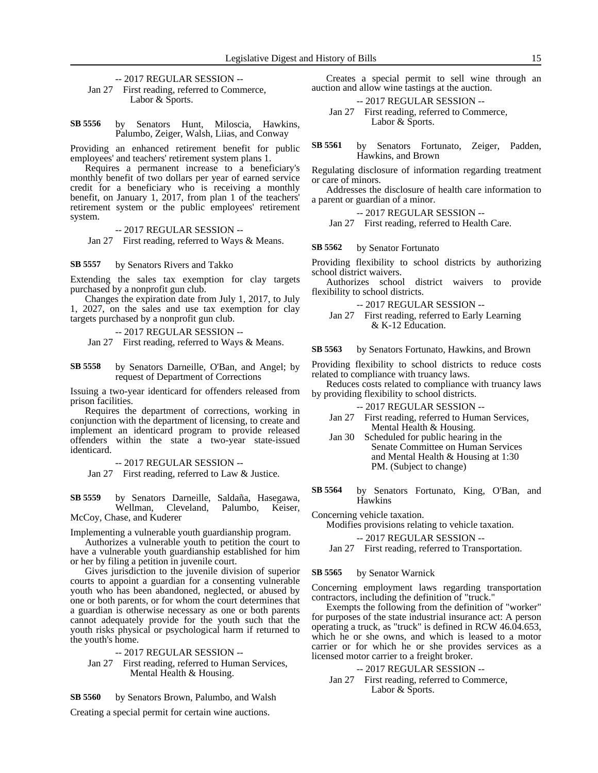-- 2017 REGULAR SESSION -- Jan 27 First reading, referred to Commerce, Labor & Sports.

by Senators Hunt, Miloscia, Hawkins, Palumbo, Zeiger, Walsh, Liias, and Conway **SB 5556**

Providing an enhanced retirement benefit for public employees' and teachers' retirement system plans 1.

Requires a permanent increase to a beneficiary's monthly benefit of two dollars per year of earned service credit for a beneficiary who is receiving a monthly benefit, on January 1, 2017, from plan 1 of the teachers' retirement system or the public employees' retirement system.

-- 2017 REGULAR SESSION --

Jan 27 First reading, referred to Ways & Means.

by Senators Rivers and Takko **SB 5557**

Extending the sales tax exemption for clay targets purchased by a nonprofit gun club.

Changes the expiration date from July 1, 2017, to July 1, 2027, on the sales and use tax exemption for clay targets purchased by a nonprofit gun club.

-- 2017 REGULAR SESSION --

Jan 27 First reading, referred to Ways & Means.

by Senators Darneille, O'Ban, and Angel; by request of Department of Corrections **SB 5558**

Issuing a two-year identicard for offenders released from prison facilities.

Requires the department of corrections, working in conjunction with the department of licensing, to create and implement an identicard program to provide released offenders within the state a two-year state-issued identicard.

-- 2017 REGULAR SESSION --

Jan 27 First reading, referred to Law & Justice.

by Senators Darneille, Saldaña, Hasegawa, Wellman, Cleveland, Palumbo, McCoy, Chase, and Kuderer **SB 5559**

Implementing a vulnerable youth guardianship program.

Authorizes a vulnerable youth to petition the court to have a vulnerable youth guardianship established for him or her by filing a petition in juvenile court.

Gives jurisdiction to the juvenile division of superior courts to appoint a guardian for a consenting vulnerable youth who has been abandoned, neglected, or abused by one or both parents, or for whom the court determines that a guardian is otherwise necessary as one or both parents cannot adequately provide for the youth such that the youth risks physical or psychological harm if returned to the youth's home.

-- 2017 REGULAR SESSION --

Jan 27 First reading, referred to Human Services, Mental Health & Housing.

by Senators Brown, Palumbo, and Walsh **SB 5560**

Creating a special permit for certain wine auctions.

Creates a special permit to sell wine through an auction and allow wine tastings at the auction.

-- 2017 REGULAR SESSION --

Jan 27 First reading, referred to Commerce, Labor & Sports.

by Senators Fortunato, Zeiger, Padden, Hawkins, and Brown **SB 5561**

Regulating disclosure of information regarding treatment or care of minors.

Addresses the disclosure of health care information to a parent or guardian of a minor.

-- 2017 REGULAR SESSION --

Jan 27 First reading, referred to Health Care.

by Senator Fortunato **SB 5562**

Providing flexibility to school districts by authorizing school district waivers.

Authorizes school district waivers to provide flexibility to school districts.

-- 2017 REGULAR SESSION --

Jan 27 First reading, referred to Early Learning & K-12 Education.

by Senators Fortunato, Hawkins, and Brown **SB 5563**

Providing flexibility to school districts to reduce costs related to compliance with truancy laws.

Reduces costs related to compliance with truancy laws by providing flexibility to school districts.

-- 2017 REGULAR SESSION --

- Jan 27 First reading, referred to Human Services, Mental Health & Housing.
- Jan 30 Scheduled for public hearing in the Senate Committee on Human Services and Mental Health & Housing at 1:30 PM. (Subject to change)
- by Senators Fortunato, King, O'Ban, and Hawkins **SB 5564**

Concerning vehicle taxation.

Modifies provisions relating to vehicle taxation.

-- 2017 REGULAR SESSION --

Jan 27 First reading, referred to Transportation.

#### by Senator Warnick **SB 5565**

Concerning employment laws regarding transportation contractors, including the definition of "truck."

Exempts the following from the definition of "worker" for purposes of the state industrial insurance act: A person operating a truck, as "truck" is defined in RCW 46.04.653, which he or she owns, and which is leased to a motor carrier or for which he or she provides services as a licensed motor carrier to a freight broker.

- -- 2017 REGULAR SESSION --
- Jan 27 First reading, referred to Commerce, Labor & Sports.